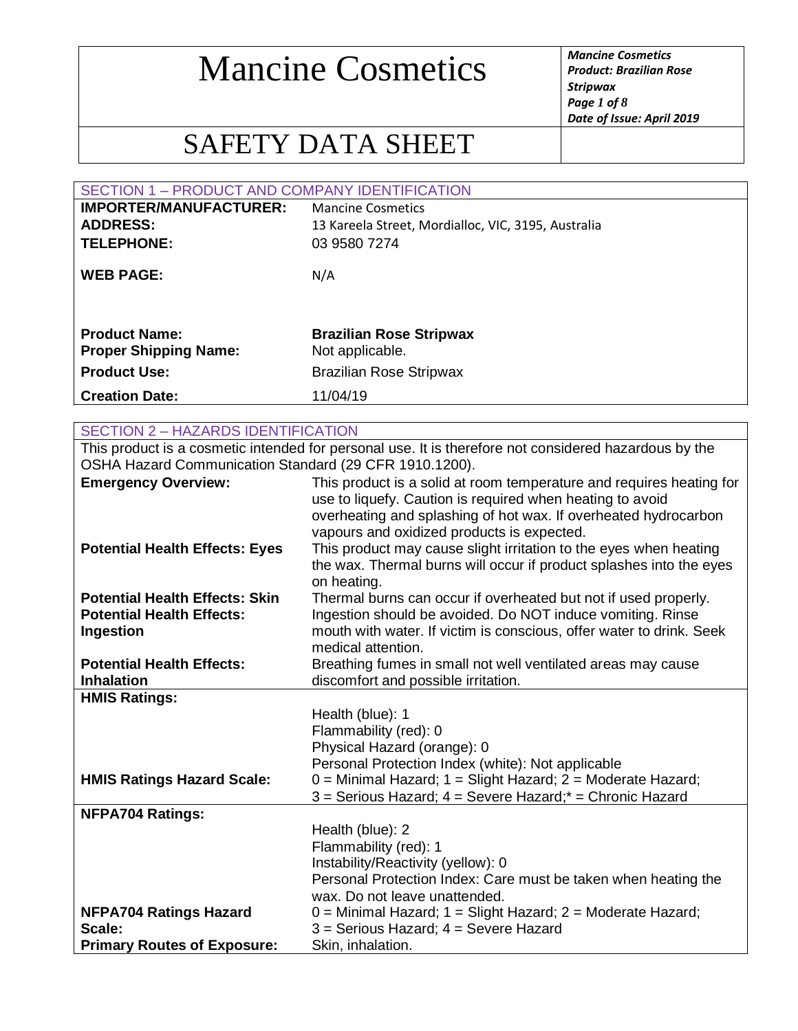*Product: Brazilian Rose Stripwax Page 1 of 8 Date of Issue: April 2019*

### SAFETY DATA SHEET

| SECTION 1 - PRODUCT AND COMPANY IDENTIFICATION       |                                                     |
|------------------------------------------------------|-----------------------------------------------------|
| <b>IMPORTER/MANUFACTURER:</b>                        | <b>Mancine Cosmetics</b>                            |
| <b>ADDRESS:</b>                                      | 13 Kareela Street, Mordialloc, VIC, 3195, Australia |
| <b>TELEPHONE:</b>                                    | 03 9580 7274                                        |
| <b>WEB PAGE:</b>                                     | N/A                                                 |
| <b>Product Name:</b><br><b>Proper Shipping Name:</b> | <b>Brazilian Rose Stripwax</b><br>Not applicable.   |
| <b>Product Use:</b>                                  | <b>Brazilian Rose Stripwax</b>                      |
| <b>Creation Date:</b>                                | 11/04/19                                            |
|                                                      |                                                     |
| <b>SECTION 2 - HAZARDS IDENTIFICATION</b>            |                                                     |

|                                                        | This product is a cosmetic intended for personal use. It is therefore not considered hazardous by the                                                                                                                                              |
|--------------------------------------------------------|----------------------------------------------------------------------------------------------------------------------------------------------------------------------------------------------------------------------------------------------------|
| OSHA Hazard Communication Standard (29 CFR 1910.1200). |                                                                                                                                                                                                                                                    |
| <b>Emergency Overview:</b>                             | This product is a solid at room temperature and requires heating for<br>use to liquefy. Caution is required when heating to avoid<br>overheating and splashing of hot wax. If overheated hydrocarbon<br>vapours and oxidized products is expected. |
| <b>Potential Health Effects: Eyes</b>                  | This product may cause slight irritation to the eyes when heating<br>the wax. Thermal burns will occur if product splashes into the eyes<br>on heating.                                                                                            |
| <b>Potential Health Effects: Skin</b>                  | Thermal burns can occur if overheated but not if used properly.                                                                                                                                                                                    |
| <b>Potential Health Effects:</b>                       | Ingestion should be avoided. Do NOT induce vomiting. Rinse                                                                                                                                                                                         |
| Ingestion                                              | mouth with water. If victim is conscious, offer water to drink. Seek                                                                                                                                                                               |
|                                                        | medical attention.                                                                                                                                                                                                                                 |
| <b>Potential Health Effects:</b>                       | Breathing fumes in small not well ventilated areas may cause                                                                                                                                                                                       |
| <b>Inhalation</b>                                      | discomfort and possible irritation.                                                                                                                                                                                                                |
| <b>HMIS Ratings:</b>                                   |                                                                                                                                                                                                                                                    |
|                                                        | Health (blue): 1                                                                                                                                                                                                                                   |
|                                                        | Flammability (red): 0                                                                                                                                                                                                                              |
|                                                        | Physical Hazard (orange): 0                                                                                                                                                                                                                        |
|                                                        | Personal Protection Index (white): Not applicable                                                                                                                                                                                                  |
| <b>HMIS Ratings Hazard Scale:</b>                      | 0 = Minimal Hazard; 1 = Slight Hazard; 2 = Moderate Hazard;                                                                                                                                                                                        |
|                                                        | 3 = Serious Hazard; 4 = Severe Hazard;* = Chronic Hazard                                                                                                                                                                                           |
| <b>NFPA704 Ratings:</b>                                |                                                                                                                                                                                                                                                    |
|                                                        | Health (blue): 2                                                                                                                                                                                                                                   |
|                                                        | Flammability (red): 1                                                                                                                                                                                                                              |
|                                                        | Instability/Reactivity (yellow): 0                                                                                                                                                                                                                 |
|                                                        | Personal Protection Index: Care must be taken when heating the                                                                                                                                                                                     |
|                                                        | wax. Do not leave unattended.                                                                                                                                                                                                                      |
| <b>NFPA704 Ratings Hazard</b>                          | $0 =$ Minimal Hazard; $1 =$ Slight Hazard; $2 =$ Moderate Hazard;                                                                                                                                                                                  |
| Scale:                                                 | 3 = Serious Hazard; 4 = Severe Hazard                                                                                                                                                                                                              |
| <b>Primary Routes of Exposure:</b>                     | Skin, inhalation.                                                                                                                                                                                                                                  |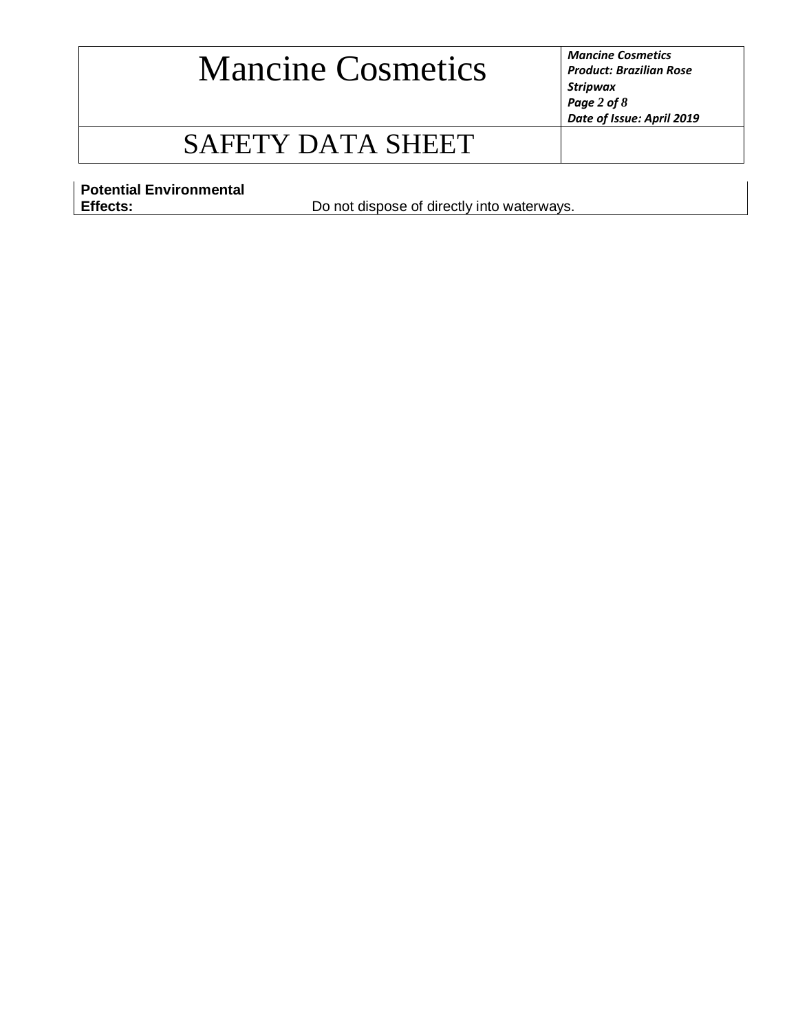*Product: Brazilian Rose Stripwax Page 2 of 8 Date of Issue: April 2019*

### SAFETY DATA SHEET

**Potential Environmental** 

Do not dispose of directly into waterways.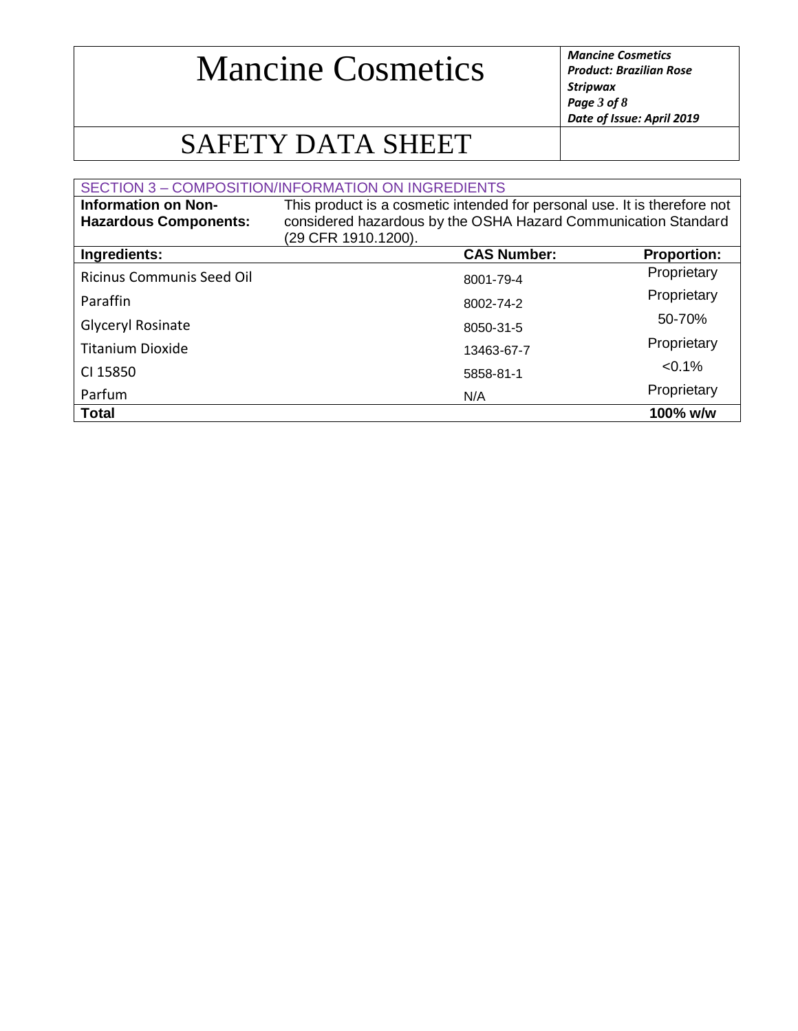*Product: Brazilian Rose Stripwax Page 3 of 8 Date of Issue: April 2019*

## SAFETY DATA SHEET

|                                                            | SECTION 3 - COMPOSITION/INFORMATION ON INGREDIENTS                                                                                                                 |                    |
|------------------------------------------------------------|--------------------------------------------------------------------------------------------------------------------------------------------------------------------|--------------------|
| <b>Information on Non-</b><br><b>Hazardous Components:</b> | This product is a cosmetic intended for personal use. It is therefore not<br>considered hazardous by the OSHA Hazard Communication Standard<br>(29 CFR 1910.1200). |                    |
| Ingredients:                                               | <b>CAS Number:</b>                                                                                                                                                 | <b>Proportion:</b> |
| <b>Ricinus Communis Seed Oil</b>                           | 8001-79-4                                                                                                                                                          | Proprietary        |
| Paraffin                                                   | 8002-74-2                                                                                                                                                          | Proprietary        |
| Glyceryl Rosinate                                          | 8050-31-5                                                                                                                                                          | 50-70%             |
| <b>Titanium Dioxide</b>                                    | 13463-67-7                                                                                                                                                         | Proprietary        |
| CI 15850                                                   | 5858-81-1                                                                                                                                                          | $< 0.1\%$          |
| Parfum                                                     | N/A                                                                                                                                                                | Proprietary        |
| <b>Total</b>                                               |                                                                                                                                                                    | 100% w/w           |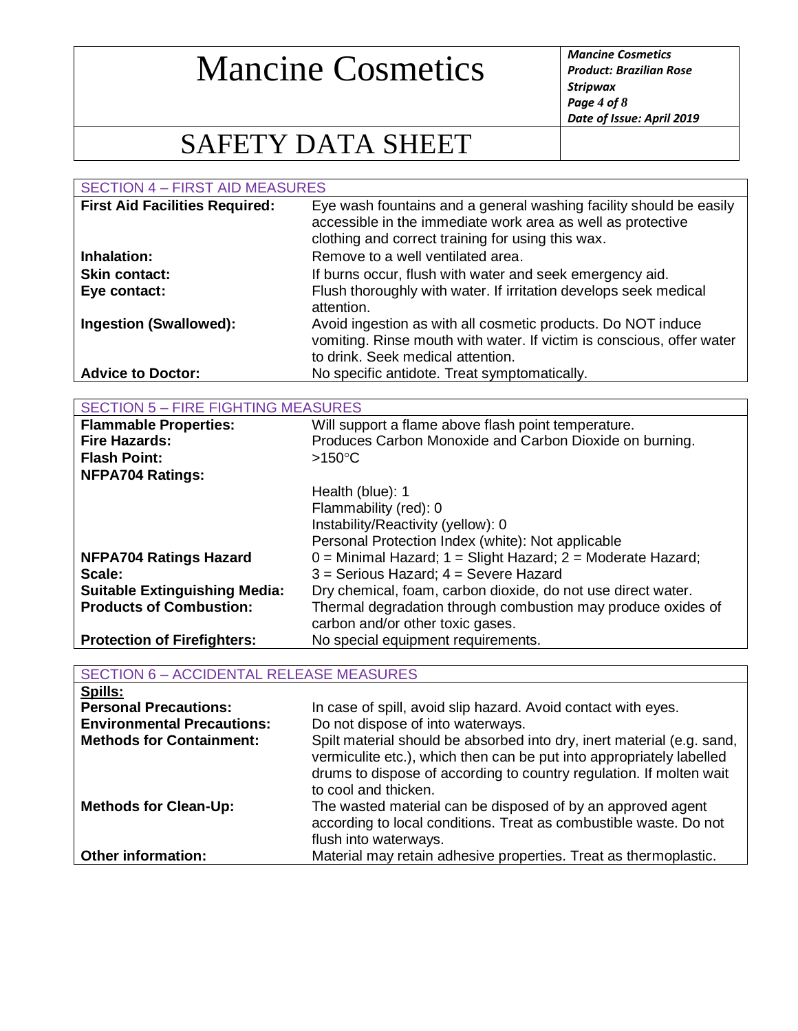*Product: Brazilian Rose Stripwax Page 4 of 8 Date of Issue: April 2019*

## SAFETY DATA SHEET

SECTION 4 – FIRST AID MEASURES **First Aid Facilities Required:** Eye wash fountains and a general washing facility should be easily accessible in the immediate work area as well as protective clothing and correct training for using this wax. **Inhalation:** Remove to a well ventilated area. **Skin contact:** If burns occur, flush with water and seek emergency aid. **Eye contact:** Flush thoroughly with water. If irritation develops seek medical attention. **Ingestion (Swallowed):** Avoid ingestion as with all cosmetic products. Do NOT induce vomiting. Rinse mouth with water. If victim is conscious, offer water to drink. Seek medical attention. Advice to Doctor: No specific antidote. Treat symptomatically.

| <b>SECTION 5 - FIRE FIGHTING MEASURES</b> |                                                                   |  |
|-------------------------------------------|-------------------------------------------------------------------|--|
| <b>Flammable Properties:</b>              | Will support a flame above flash point temperature.               |  |
| <b>Fire Hazards:</b>                      | Produces Carbon Monoxide and Carbon Dioxide on burning.           |  |
| <b>Flash Point:</b>                       | $>150^{\circ}$ C                                                  |  |
| <b>NFPA704 Ratings:</b>                   |                                                                   |  |
|                                           | Health (blue): 1                                                  |  |
|                                           | Flammability (red): 0                                             |  |
|                                           | Instability/Reactivity (yellow): 0                                |  |
|                                           | Personal Protection Index (white): Not applicable                 |  |
| <b>NFPA704 Ratings Hazard</b>             | $0 =$ Minimal Hazard; $1 =$ Slight Hazard; $2 =$ Moderate Hazard; |  |
| Scale:                                    | $3$ = Serious Hazard; $4$ = Severe Hazard                         |  |
| <b>Suitable Extinguishing Media:</b>      | Dry chemical, foam, carbon dioxide, do not use direct water.      |  |
| <b>Products of Combustion:</b>            | Thermal degradation through combustion may produce oxides of      |  |
|                                           | carbon and/or other toxic gases.                                  |  |
| <b>Protection of Firefighters:</b>        | No special equipment requirements.                                |  |

| <b>SECTION 6 - ACCIDENTAL RELEASE MEASURES</b> |                                                                                                                                                                                                                                               |
|------------------------------------------------|-----------------------------------------------------------------------------------------------------------------------------------------------------------------------------------------------------------------------------------------------|
| Spills:                                        |                                                                                                                                                                                                                                               |
| <b>Personal Precautions:</b>                   | In case of spill, avoid slip hazard. Avoid contact with eyes.                                                                                                                                                                                 |
| <b>Environmental Precautions:</b>              | Do not dispose of into waterways.                                                                                                                                                                                                             |
| <b>Methods for Containment:</b>                | Spilt material should be absorbed into dry, inert material (e.g. sand,<br>vermiculite etc.), which then can be put into appropriately labelled<br>drums to dispose of according to country regulation. If molten wait<br>to cool and thicken. |
| <b>Methods for Clean-Up:</b>                   | The wasted material can be disposed of by an approved agent<br>according to local conditions. Treat as combustible waste. Do not<br>flush into waterways.                                                                                     |
| <b>Other information:</b>                      | Material may retain adhesive properties. Treat as thermoplastic.                                                                                                                                                                              |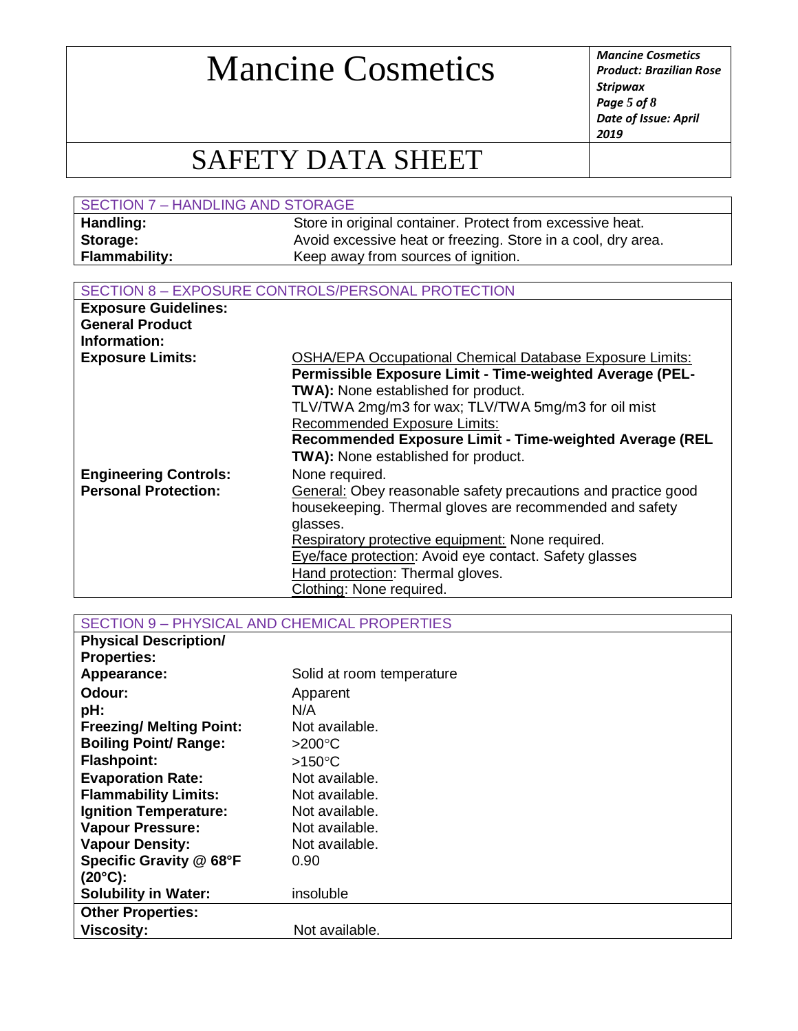*Product: Brazilian Rose Stripwax Page 5 of 8 Date of Issue: April 2019*

### SAFETY DATA SHEET

| SECTION 7 - HANDLING AND STORAGE |                                                              |
|----------------------------------|--------------------------------------------------------------|
| Handling:                        | Store in original container. Protect from excessive heat.    |
| Storage:                         | Avoid excessive heat or freezing. Store in a cool, dry area. |
| <b>Flammability:</b>             | Keep away from sources of ignition.                          |

#### SECTION 8 – EXPOSURE CONTROLS/PERSONAL PROTECTION

| <b>Exposure Guidelines:</b>  |                                                                 |
|------------------------------|-----------------------------------------------------------------|
| <b>General Product</b>       |                                                                 |
| Information:                 |                                                                 |
| <b>Exposure Limits:</b>      | <b>OSHA/EPA Occupational Chemical Database Exposure Limits:</b> |
|                              | Permissible Exposure Limit - Time-weighted Average (PEL-        |
|                              | TWA): None established for product.                             |
|                              | TLV/TWA 2mg/m3 for wax; TLV/TWA 5mg/m3 for oil mist             |
|                              | <b>Recommended Exposure Limits:</b>                             |
|                              | Recommended Exposure Limit - Time-weighted Average (REL         |
|                              | <b>TWA):</b> None established for product.                      |
| <b>Engineering Controls:</b> | None required.                                                  |
| <b>Personal Protection:</b>  | General: Obey reasonable safety precautions and practice good   |
|                              | housekeeping. Thermal gloves are recommended and safety         |
|                              | glasses.                                                        |
|                              | Respiratory protective equipment: None required.                |
|                              | Eye/face protection: Avoid eye contact. Safety glasses          |
|                              | Hand protection: Thermal gloves.                                |
|                              | Clothing: None required.                                        |

SECTION 9 – PHYSICAL AND CHEMICAL PROPERTIES

| <b>Physical Description/</b>    |                           |
|---------------------------------|---------------------------|
| <b>Properties:</b>              |                           |
| Appearance:                     | Solid at room temperature |
| Odour:                          | Apparent                  |
| pH:                             | N/A                       |
| <b>Freezing/ Melting Point:</b> | Not available.            |
| <b>Boiling Point/ Range:</b>    | $>200^{\circ}$ C          |
| <b>Flashpoint:</b>              | $>150^{\circ}$ C          |
| <b>Evaporation Rate:</b>        | Not available.            |
| <b>Flammability Limits:</b>     | Not available.            |
| <b>Ignition Temperature:</b>    | Not available.            |
| <b>Vapour Pressure:</b>         | Not available.            |
| <b>Vapour Density:</b>          | Not available.            |
| Specific Gravity @ 68°F         | 0.90                      |
| $(20^{\circ}C)$ :               |                           |
| <b>Solubility in Water:</b>     | insoluble                 |
| <b>Other Properties:</b>        |                           |
| <b>Viscosity:</b>               | Not available.            |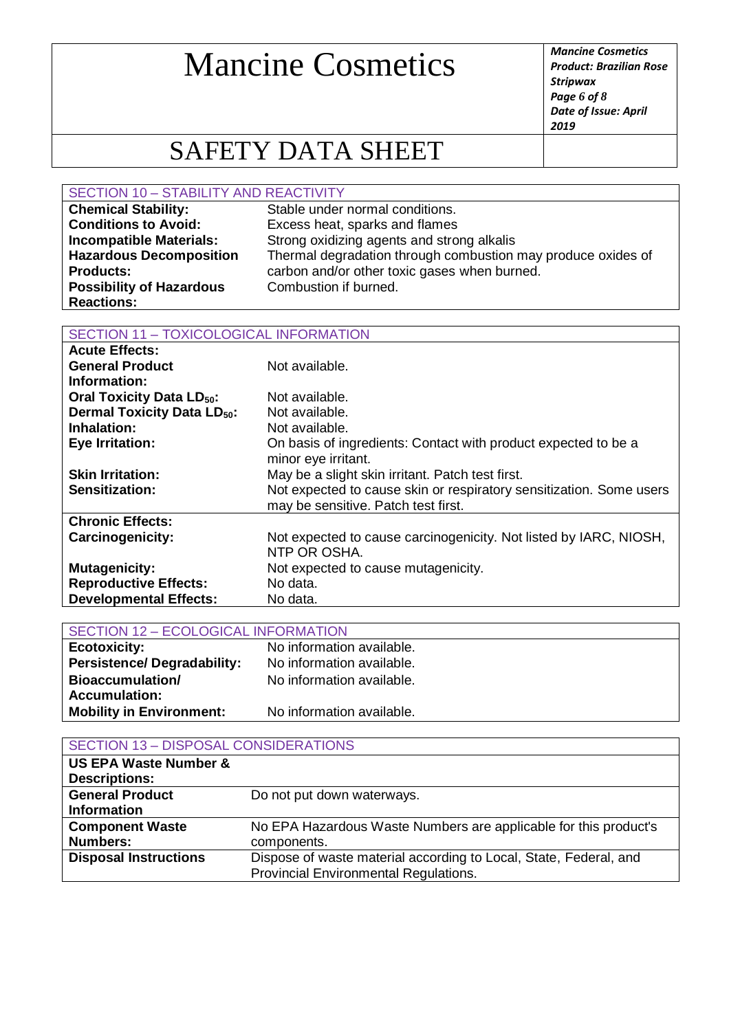*Product: Brazilian Rose Stripwax Page 6 of 8 Date of Issue: April 2019*

## SAFETY DATA SHEET

#### SECTION 10 – STABILITY AND REACTIVITY

| <b>Chemical Stability:</b>      | Stable under normal conditions.                              |
|---------------------------------|--------------------------------------------------------------|
| <b>Conditions to Avoid:</b>     | Excess heat, sparks and flames                               |
| <b>Incompatible Materials:</b>  | Strong oxidizing agents and strong alkalis                   |
| <b>Hazardous Decomposition</b>  | Thermal degradation through combustion may produce oxides of |
| <b>Products:</b>                | carbon and/or other toxic gases when burned.                 |
| <b>Possibility of Hazardous</b> | Combustion if burned.                                        |
| <b>Reactions:</b>               |                                                              |

#### SECTION 11 – TOXICOLOGICAL INFORMATION

| <b>Acute Effects:</b>                        |                                                                     |
|----------------------------------------------|---------------------------------------------------------------------|
| <b>General Product</b>                       | Not available.                                                      |
| Information:                                 |                                                                     |
| <b>Oral Toxicity Data LD<sub>50</sub>:</b>   | Not available.                                                      |
| <b>Dermal Toxicity Data LD<sub>50</sub>:</b> | Not available.                                                      |
| Inhalation:                                  | Not available.                                                      |
| <b>Eye Irritation:</b>                       | On basis of ingredients: Contact with product expected to be a      |
|                                              | minor eye irritant.                                                 |
| <b>Skin Irritation:</b>                      | May be a slight skin irritant. Patch test first.                    |
| Sensitization:                               | Not expected to cause skin or respiratory sensitization. Some users |
|                                              | may be sensitive. Patch test first.                                 |
| <b>Chronic Effects:</b>                      |                                                                     |
| <b>Carcinogenicity:</b>                      | Not expected to cause carcinogenicity. Not listed by IARC, NIOSH,   |
|                                              | NTP OR OSHA.                                                        |
| <b>Mutagenicity:</b>                         | Not expected to cause mutagenicity.                                 |
| <b>Reproductive Effects:</b>                 | No data.                                                            |
| <b>Developmental Effects:</b>                | No data.                                                            |

| <b>SECTION 12 - ECOLOGICAL INFORMATION</b> |                           |
|--------------------------------------------|---------------------------|
| <b>Ecotoxicity:</b>                        | No information available. |
| <b>Persistence/Degradability:</b>          | No information available. |
| Bioaccumulation/                           | No information available. |
| <b>Accumulation:</b>                       |                           |
| <b>Mobility in Environment:</b>            | No information available. |

| <b>SECTION 13 - DISPOSAL CONSIDERATIONS</b> |                                                                   |
|---------------------------------------------|-------------------------------------------------------------------|
| <b>US EPA Waste Number &amp;</b>            |                                                                   |
| <b>Descriptions:</b>                        |                                                                   |
| <b>General Product</b>                      | Do not put down waterways.                                        |
| <b>Information</b>                          |                                                                   |
| <b>Component Waste</b>                      | No EPA Hazardous Waste Numbers are applicable for this product's  |
| <b>Numbers:</b>                             | components.                                                       |
| <b>Disposal Instructions</b>                | Dispose of waste material according to Local, State, Federal, and |
|                                             | Provincial Environmental Regulations.                             |
|                                             |                                                                   |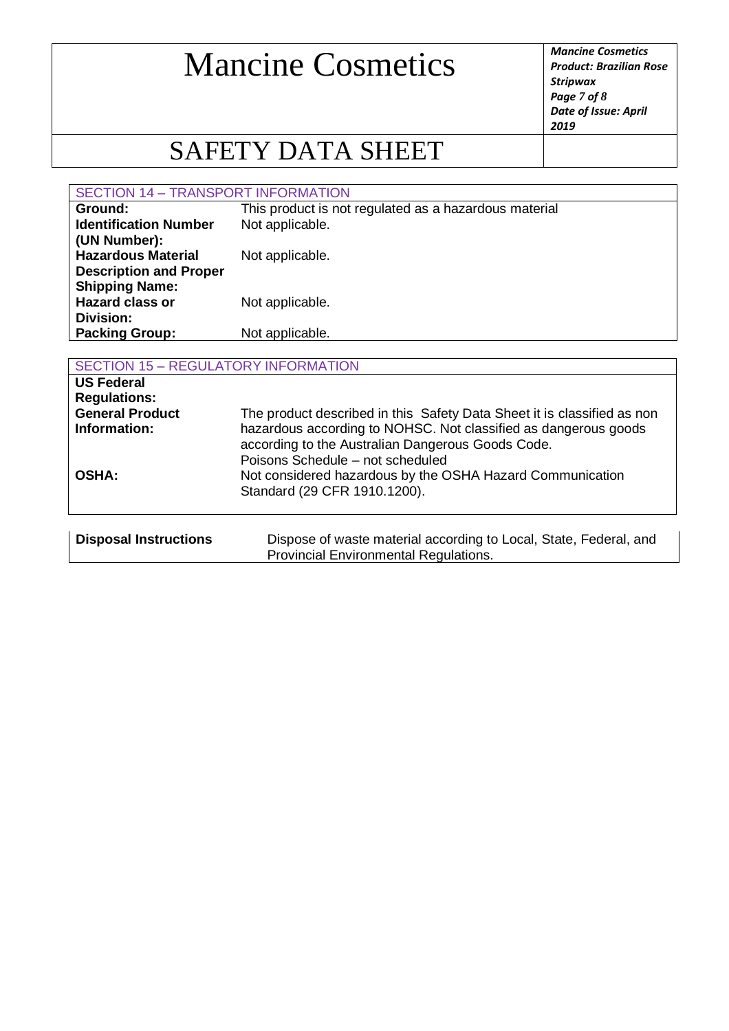*Product: Brazilian Rose Stripwax Page 7 of 8 Date of Issue: April 2019*

## SAFETY DATA SHEET

#### SECTION 14 – TRANSPORT INFORMATION

| Ground:                       | This product is not regulated as a hazardous material |
|-------------------------------|-------------------------------------------------------|
| <b>Identification Number</b>  | Not applicable.                                       |
| (UN Number):                  |                                                       |
| <b>Hazardous Material</b>     | Not applicable.                                       |
| <b>Description and Proper</b> |                                                       |
| <b>Shipping Name:</b>         |                                                       |
| <b>Hazard class or</b>        | Not applicable.                                       |
| Division:                     |                                                       |
| <b>Packing Group:</b>         | Not applicable.                                       |
|                               |                                                       |

| <b>SECTION 15 - REGULATORY INFORMATION</b>                                         |                                                                                                                                                                                                 |  |
|------------------------------------------------------------------------------------|-------------------------------------------------------------------------------------------------------------------------------------------------------------------------------------------------|--|
| <b>US Federal</b><br><b>Regulations:</b><br><b>General Product</b><br>Information: | The product described in this Safety Data Sheet it is classified as non<br>hazardous according to NOHSC. Not classified as dangerous goods<br>according to the Australian Dangerous Goods Code. |  |
| <b>OSHA:</b>                                                                       | Poisons Schedule - not scheduled<br>Not considered hazardous by the OSHA Hazard Communication<br>Standard (29 CFR 1910.1200).                                                                   |  |
| <b>Disposal Instructions</b>                                                       | Dispose of waste material according to Local, State, Federal, and<br>Provincial Environmental Regulations.                                                                                      |  |